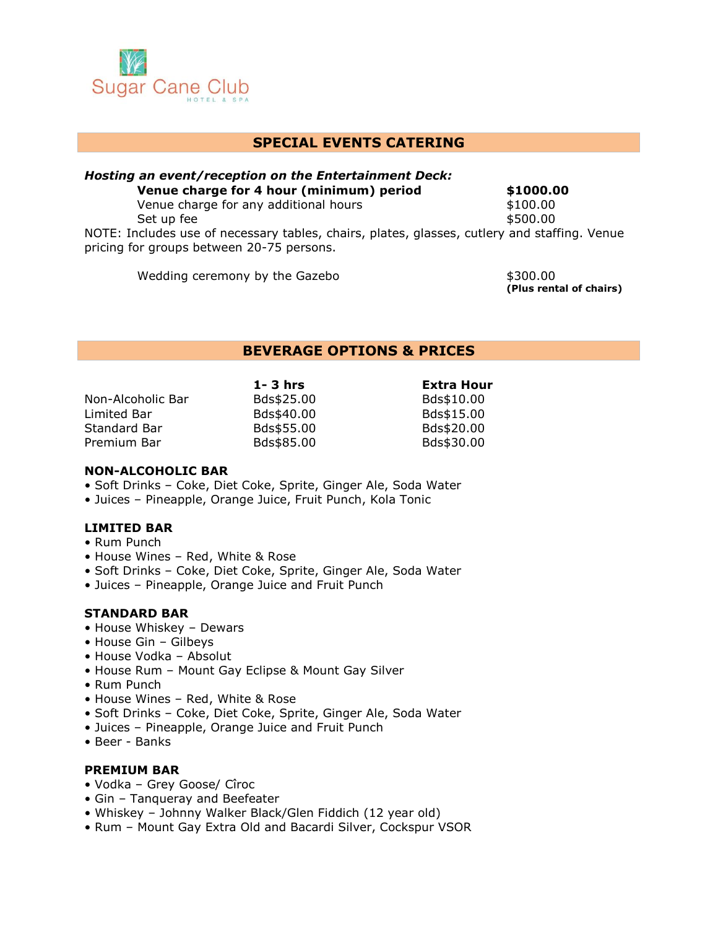

# **SPECIAL EVENTS CATERING**

#### *Hosting an event/reception on the Entertainment Deck:* **Venue charge for 4 hour (minimum) period \$1000.00** Venue charge for any additional hours **\$100.00** Set up fee  $$500.00$

NOTE: Includes use of necessary tables, chairs, plates, glasses, cutlery and staffing. Venue pricing for groups between 20-75 persons.

Wedding ceremony by the Gazebo  $$300.00$ 

**(Plus rental of chairs)**

## **BEVERAGE OPTIONS & PRICES**

| $1 - 3$ hrs | <b>Extra Hour</b> |
|-------------|-------------------|
| Bds\$25.00  | Bds\$10.00        |
| Bds\$40.00  | Bds\$15.00        |
| Bds\$55.00  | Bds\$20.00        |
| Bds\$85.00  | Bds\$30.00        |
|             |                   |

#### **NON-ALCOHOLIC BAR**

- Soft Drinks Coke, Diet Coke, Sprite, Ginger Ale, Soda Water
- Juices Pineapple, Orange Juice, Fruit Punch, Kola Tonic

### **LIMITED BAR**

- Rum Punch
- House Wines Red, White & Rose
- Soft Drinks Coke, Diet Coke, Sprite, Ginger Ale, Soda Water
- Juices Pineapple, Orange Juice and Fruit Punch

## **STANDARD BAR**

- House Whiskey Dewars
- House Gin Gilbeys
- House Vodka Absolut
- House Rum Mount Gay Eclipse & Mount Gay Silver
- Rum Punch
- House Wines Red, White & Rose
- Soft Drinks Coke, Diet Coke, Sprite, Ginger Ale, Soda Water
- Juices Pineapple, Orange Juice and Fruit Punch
- Beer Banks

## **PREMIUM BAR**

- Vodka Grey Goose/ Cîroc
- Gin Tanqueray and Beefeater
- Whiskey Johnny Walker Black/Glen Fiddich (12 year old)
- Rum Mount Gay Extra Old and Bacardi Silver, Cockspur VSOR